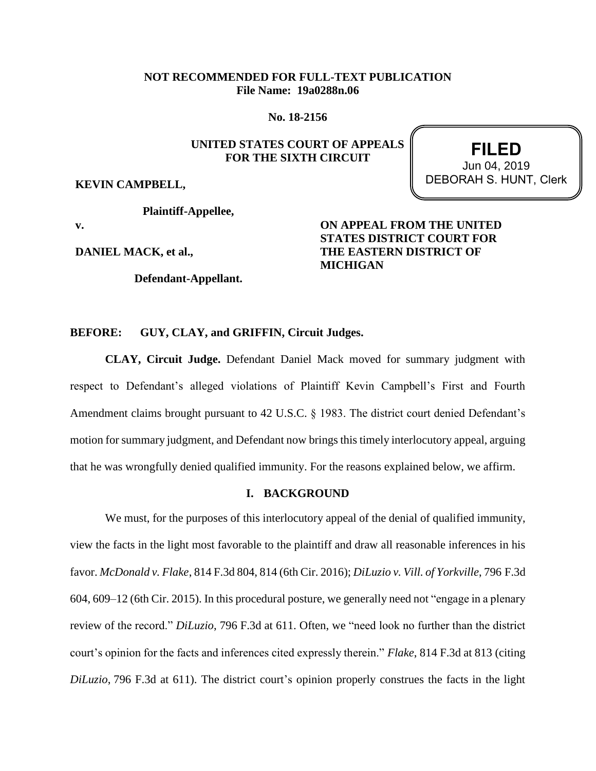# **NOT RECOMMENDED FOR FULL-TEXT PUBLICATION File Name: 19a0288n.06**

**No. 18-2156**

# **UNITED STATES COURT OF APPEALS FOR THE SIXTH CIRCUIT**

**KEVIN CAMPBELL,**

**Plaintiff-Appellee,**

**v.**

**DANIEL MACK, et al.,**

**Defendant-Appellant.**

# **ON APPEAL FROM THE UNITED STATES DISTRICT COURT FOR THE EASTERN DISTRICT OF MICHIGAN**

# **BEFORE: GUY, CLAY, and GRIFFIN, Circuit Judges.**

**CLAY, Circuit Judge.** Defendant Daniel Mack moved for summary judgment with respect to Defendant's alleged violations of Plaintiff Kevin Campbell's First and Fourth Amendment claims brought pursuant to 42 U.S.C. § 1983. The district court denied Defendant's motion for summary judgment, and Defendant now brings this timely interlocutory appeal, arguing that he was wrongfully denied qualified immunity. For the reasons explained below, we affirm.

# **I. BACKGROUND**

We must, for the purposes of this interlocutory appeal of the denial of qualified immunity, view the facts in the light most favorable to the plaintiff and draw all reasonable inferences in his favor. *McDonald v. Flake*, 814 F.3d 804, 814 (6th Cir. 2016); *DiLuzio v. Vill. of Yorkville*, 796 F.3d 604, 609–12 (6th Cir. 2015). In this procedural posture, we generally need not "engage in a plenary review of the record." *DiLuzio*, 796 F.3d at 611. Often, we "need look no further than the district court's opinion for the facts and inferences cited expressly therein." *Flake*, 814 F.3d at 813 (citing *DiLuzio*, 796 F.3d at 611). The district court's opinion properly construes the facts in the light

**FILED** DEBORAH S. HUNT, Clerk Jun 04, 2019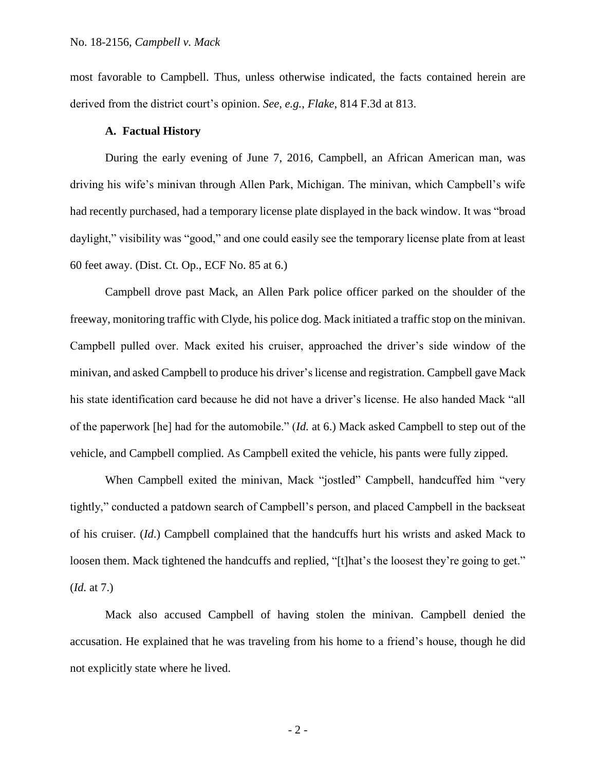most favorable to Campbell. Thus, unless otherwise indicated, the facts contained herein are derived from the district court's opinion. *See, e.g.*, *Flake*, 814 F.3d at 813.

## **A. Factual History**

During the early evening of June 7, 2016, Campbell, an African American man, was driving his wife's minivan through Allen Park, Michigan. The minivan, which Campbell's wife had recently purchased, had a temporary license plate displayed in the back window. It was "broad daylight," visibility was "good," and one could easily see the temporary license plate from at least 60 feet away. (Dist. Ct. Op., ECF No. 85 at 6.)

Campbell drove past Mack, an Allen Park police officer parked on the shoulder of the freeway, monitoring traffic with Clyde, his police dog. Mack initiated a traffic stop on the minivan. Campbell pulled over. Mack exited his cruiser, approached the driver's side window of the minivan, and asked Campbell to produce his driver's license and registration. Campbell gave Mack his state identification card because he did not have a driver's license. He also handed Mack "all of the paperwork [he] had for the automobile." (*Id.* at 6.) Mack asked Campbell to step out of the vehicle, and Campbell complied. As Campbell exited the vehicle, his pants were fully zipped.

When Campbell exited the minivan, Mack "jostled" Campbell, handcuffed him "very tightly," conducted a patdown search of Campbell's person, and placed Campbell in the backseat of his cruiser. (*Id*.) Campbell complained that the handcuffs hurt his wrists and asked Mack to loosen them. Mack tightened the handcuffs and replied, "[t]hat's the loosest they're going to get." (*Id.* at 7.)

Mack also accused Campbell of having stolen the minivan. Campbell denied the accusation. He explained that he was traveling from his home to a friend's house, though he did not explicitly state where he lived.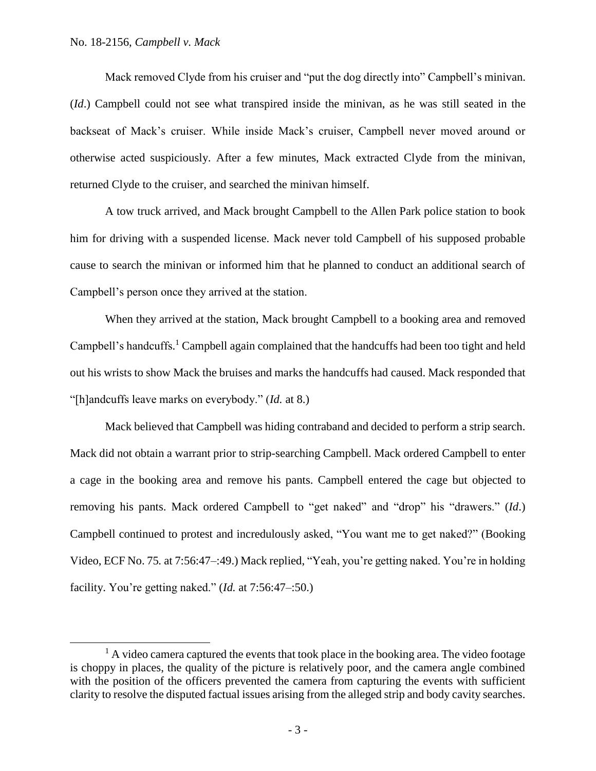$\overline{\phantom{a}}$ 

Mack removed Clyde from his cruiser and "put the dog directly into" Campbell's minivan. (*Id*.) Campbell could not see what transpired inside the minivan, as he was still seated in the backseat of Mack's cruiser. While inside Mack's cruiser, Campbell never moved around or otherwise acted suspiciously. After a few minutes, Mack extracted Clyde from the minivan, returned Clyde to the cruiser, and searched the minivan himself.

A tow truck arrived, and Mack brought Campbell to the Allen Park police station to book him for driving with a suspended license. Mack never told Campbell of his supposed probable cause to search the minivan or informed him that he planned to conduct an additional search of Campbell's person once they arrived at the station.

When they arrived at the station, Mack brought Campbell to a booking area and removed Campbell's handcuffs.<sup>1</sup> Campbell again complained that the handcuffs had been too tight and held out his wrists to show Mack the bruises and marks the handcuffs had caused. Mack responded that "[h]andcuffs leave marks on everybody." (*Id.* at 8.)

Mack believed that Campbell was hiding contraband and decided to perform a strip search. Mack did not obtain a warrant prior to strip-searching Campbell. Mack ordered Campbell to enter a cage in the booking area and remove his pants. Campbell entered the cage but objected to removing his pants. Mack ordered Campbell to "get naked" and "drop" his "drawers." (*Id*.) Campbell continued to protest and incredulously asked, "You want me to get naked?" (Booking Video, ECF No. 75*.* at 7:56:47–:49.) Mack replied, "Yeah, you're getting naked. You're in holding facility. You're getting naked." (*Id.* at 7:56:47–:50.)

 $<sup>1</sup>$  A video camera captured the events that took place in the booking area. The video footage</sup> is choppy in places, the quality of the picture is relatively poor, and the camera angle combined with the position of the officers prevented the camera from capturing the events with sufficient clarity to resolve the disputed factual issues arising from the alleged strip and body cavity searches.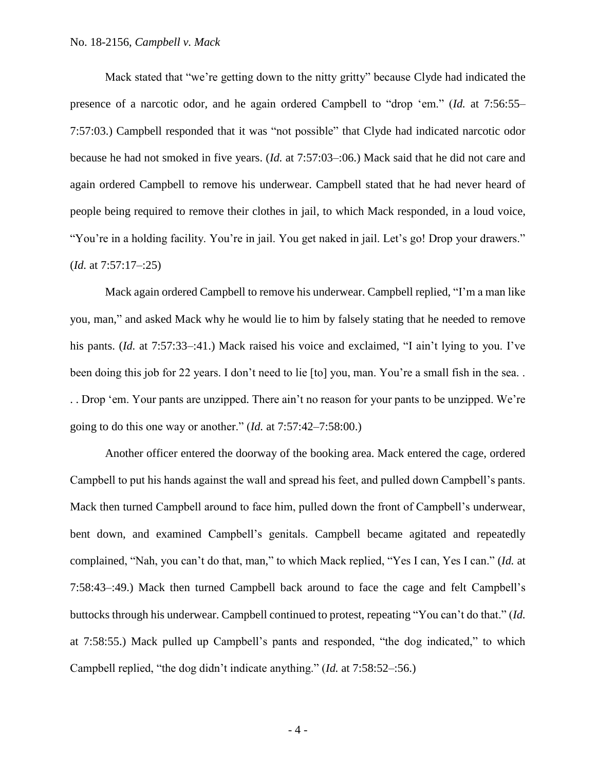Mack stated that "we're getting down to the nitty gritty" because Clyde had indicated the presence of a narcotic odor, and he again ordered Campbell to "drop 'em." (*Id.* at 7:56:55– 7:57:03.) Campbell responded that it was "not possible" that Clyde had indicated narcotic odor because he had not smoked in five years. (*Id.* at 7:57:03–:06.) Mack said that he did not care and again ordered Campbell to remove his underwear. Campbell stated that he had never heard of people being required to remove their clothes in jail, to which Mack responded, in a loud voice, "You're in a holding facility. You're in jail. You get naked in jail. Let's go! Drop your drawers." (*Id.* at 7:57:17–:25)

Mack again ordered Campbell to remove his underwear. Campbell replied, "I'm a man like you, man," and asked Mack why he would lie to him by falsely stating that he needed to remove his pants. *(Id.* at 7:57:33–:41.) Mack raised his voice and exclaimed, "I ain't lying to you. I've been doing this job for 22 years. I don't need to lie [to] you, man. You're a small fish in the sea.. . . Drop 'em. Your pants are unzipped. There ain't no reason for your pants to be unzipped. We're going to do this one way or another." (*Id.* at 7:57:42–7:58:00.)

Another officer entered the doorway of the booking area. Mack entered the cage, ordered Campbell to put his hands against the wall and spread his feet, and pulled down Campbell's pants. Mack then turned Campbell around to face him, pulled down the front of Campbell's underwear, bent down, and examined Campbell's genitals. Campbell became agitated and repeatedly complained, "Nah, you can't do that, man," to which Mack replied, "Yes I can, Yes I can." (*Id.* at 7:58:43–:49.) Mack then turned Campbell back around to face the cage and felt Campbell's buttocks through his underwear. Campbell continued to protest, repeating "You can't do that." (*Id.* at 7:58:55.) Mack pulled up Campbell's pants and responded, "the dog indicated," to which Campbell replied, "the dog didn't indicate anything." (*Id.* at 7:58:52–:56.)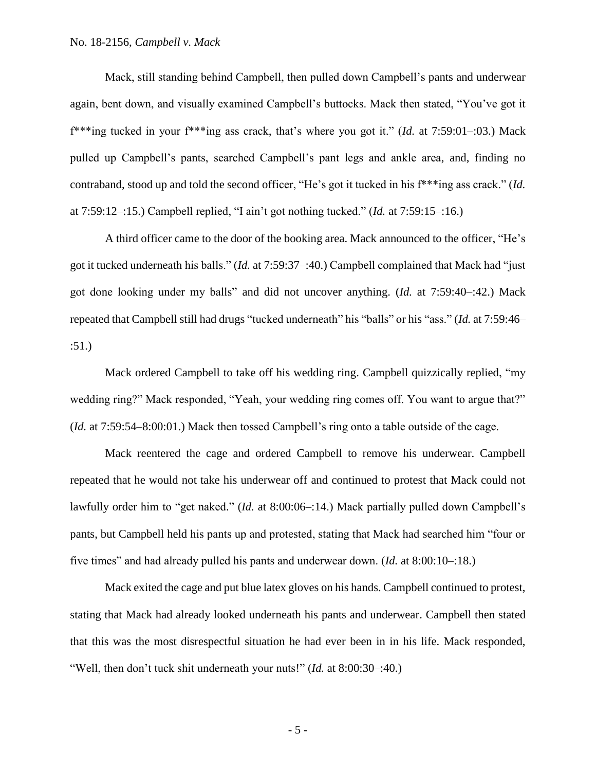Mack, still standing behind Campbell, then pulled down Campbell's pants and underwear again, bent down, and visually examined Campbell's buttocks. Mack then stated, "You've got it f\*\*\*ing tucked in your f\*\*\*ing ass crack, that's where you got it." (*Id.* at 7:59:01–:03.) Mack pulled up Campbell's pants, searched Campbell's pant legs and ankle area, and, finding no contraband, stood up and told the second officer, "He's got it tucked in his f\*\*\*ing ass crack." (*Id.* at 7:59:12–:15.) Campbell replied, "I ain't got nothing tucked." (*Id.* at 7:59:15–:16.)

A third officer came to the door of the booking area. Mack announced to the officer, "He's got it tucked underneath his balls." (*Id.* at 7:59:37–:40.) Campbell complained that Mack had "just got done looking under my balls" and did not uncover anything. (*Id.* at 7:59:40–:42.) Mack repeated that Campbell still had drugs "tucked underneath" his "balls" or his "ass." (*Id.* at 7:59:46– :51.)

Mack ordered Campbell to take off his wedding ring. Campbell quizzically replied, "my wedding ring?" Mack responded, "Yeah, your wedding ring comes off. You want to argue that?" (*Id.* at 7:59:54–8:00:01.) Mack then tossed Campbell's ring onto a table outside of the cage.

Mack reentered the cage and ordered Campbell to remove his underwear. Campbell repeated that he would not take his underwear off and continued to protest that Mack could not lawfully order him to "get naked." (*Id.* at 8:00:06–:14.) Mack partially pulled down Campbell's pants, but Campbell held his pants up and protested, stating that Mack had searched him "four or five times" and had already pulled his pants and underwear down. (*Id.* at 8:00:10–:18.)

Mack exited the cage and put blue latex gloves on his hands. Campbell continued to protest, stating that Mack had already looked underneath his pants and underwear. Campbell then stated that this was the most disrespectful situation he had ever been in in his life. Mack responded, "Well, then don't tuck shit underneath your nuts!" (*Id.* at 8:00:30–:40.)

- 5 -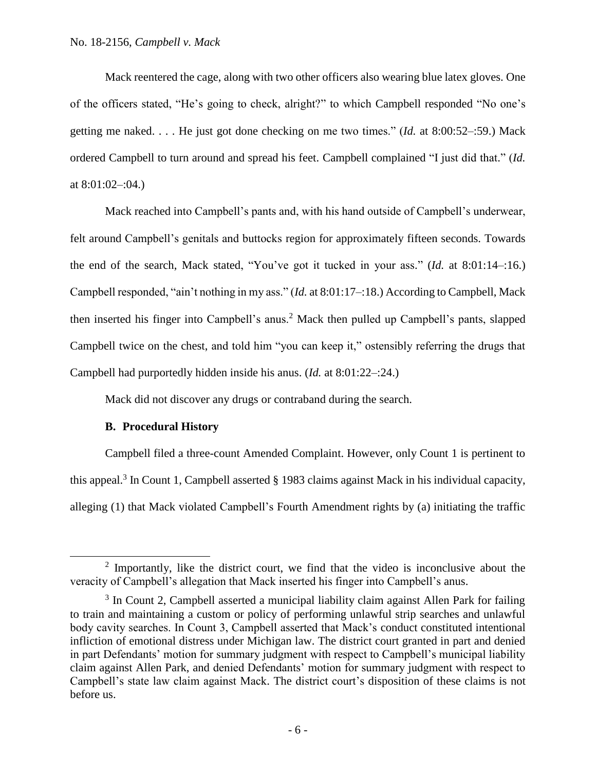Mack reentered the cage, along with two other officers also wearing blue latex gloves. One of the officers stated, "He's going to check, alright?" to which Campbell responded "No one's getting me naked. . . . He just got done checking on me two times." (*Id.* at 8:00:52–:59.) Mack ordered Campbell to turn around and spread his feet. Campbell complained "I just did that." (*Id.* at 8:01:02–:04.)

Mack reached into Campbell's pants and, with his hand outside of Campbell's underwear, felt around Campbell's genitals and buttocks region for approximately fifteen seconds. Towards the end of the search, Mack stated, "You've got it tucked in your ass." (*Id.* at 8:01:14–:16.) Campbell responded, "ain't nothing in my ass." (*Id.* at 8:01:17–:18.) According to Campbell, Mack then inserted his finger into Campbell's anus.<sup>2</sup> Mack then pulled up Campbell's pants, slapped Campbell twice on the chest, and told him "you can keep it," ostensibly referring the drugs that Campbell had purportedly hidden inside his anus. (*Id.* at 8:01:22–:24.)

Mack did not discover any drugs or contraband during the search.

# **B. Procedural History**

 $\overline{a}$ 

Campbell filed a three-count Amended Complaint. However, only Count 1 is pertinent to this appeal.<sup>3</sup> In Count 1, Campbell asserted  $\S$  1983 claims against Mack in his individual capacity, alleging (1) that Mack violated Campbell's Fourth Amendment rights by (a) initiating the traffic

 $2$  Importantly, like the district court, we find that the video is inconclusive about the veracity of Campbell's allegation that Mack inserted his finger into Campbell's anus.

<sup>&</sup>lt;sup>3</sup> In Count 2, Campbell asserted a municipal liability claim against Allen Park for failing to train and maintaining a custom or policy of performing unlawful strip searches and unlawful body cavity searches. In Count 3, Campbell asserted that Mack's conduct constituted intentional infliction of emotional distress under Michigan law. The district court granted in part and denied in part Defendants' motion for summary judgment with respect to Campbell's municipal liability claim against Allen Park, and denied Defendants' motion for summary judgment with respect to Campbell's state law claim against Mack. The district court's disposition of these claims is not before us.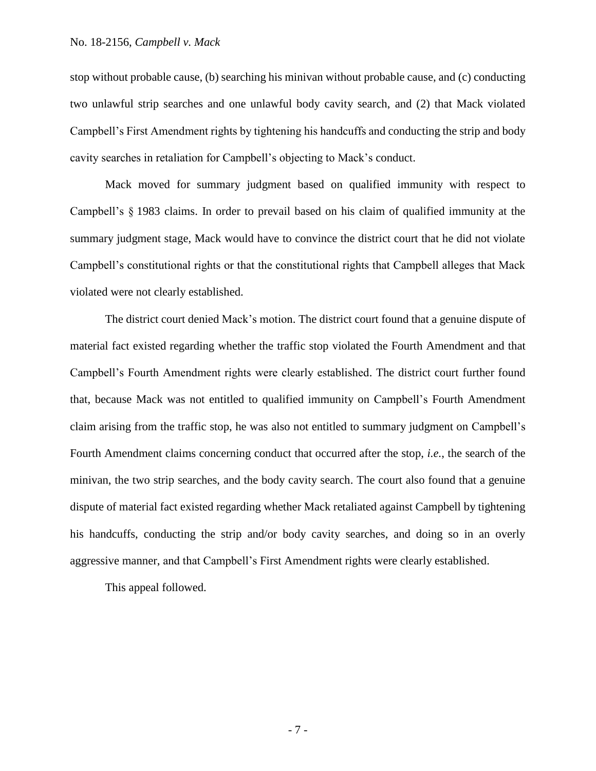stop without probable cause, (b) searching his minivan without probable cause, and (c) conducting two unlawful strip searches and one unlawful body cavity search, and (2) that Mack violated Campbell's First Amendment rights by tightening his handcuffs and conducting the strip and body cavity searches in retaliation for Campbell's objecting to Mack's conduct.

Mack moved for summary judgment based on qualified immunity with respect to Campbell's § 1983 claims. In order to prevail based on his claim of qualified immunity at the summary judgment stage, Mack would have to convince the district court that he did not violate Campbell's constitutional rights or that the constitutional rights that Campbell alleges that Mack violated were not clearly established.

The district court denied Mack's motion. The district court found that a genuine dispute of material fact existed regarding whether the traffic stop violated the Fourth Amendment and that Campbell's Fourth Amendment rights were clearly established. The district court further found that, because Mack was not entitled to qualified immunity on Campbell's Fourth Amendment claim arising from the traffic stop, he was also not entitled to summary judgment on Campbell's Fourth Amendment claims concerning conduct that occurred after the stop, *i.e.*, the search of the minivan, the two strip searches, and the body cavity search. The court also found that a genuine dispute of material fact existed regarding whether Mack retaliated against Campbell by tightening his handcuffs, conducting the strip and/or body cavity searches, and doing so in an overly aggressive manner, and that Campbell's First Amendment rights were clearly established.

This appeal followed.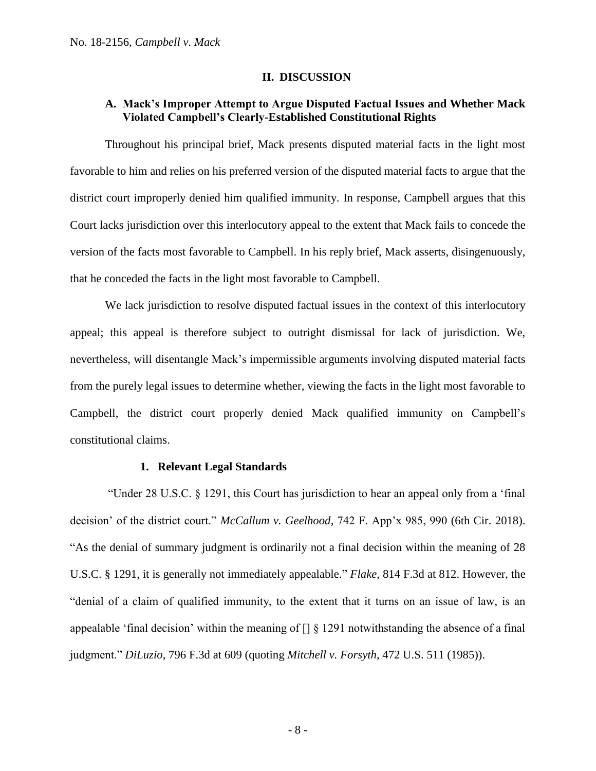## **II. DISCUSSION**

# **A. Mack's Improper Attempt to Argue Disputed Factual Issues and Whether Mack Violated Campbell's Clearly-Established Constitutional Rights**

Throughout his principal brief, Mack presents disputed material facts in the light most favorable to him and relies on his preferred version of the disputed material facts to argue that the district court improperly denied him qualified immunity. In response, Campbell argues that this Court lacks jurisdiction over this interlocutory appeal to the extent that Mack fails to concede the version of the facts most favorable to Campbell. In his reply brief, Mack asserts, disingenuously, that he conceded the facts in the light most favorable to Campbell.

We lack jurisdiction to resolve disputed factual issues in the context of this interlocutory appeal; this appeal is therefore subject to outright dismissal for lack of jurisdiction. We, nevertheless, will disentangle Mack's impermissible arguments involving disputed material facts from the purely legal issues to determine whether, viewing the facts in the light most favorable to Campbell, the district court properly denied Mack qualified immunity on Campbell's constitutional claims.

# **1. Relevant Legal Standards**

"Under 28 U.S.C. § 1291, this Court has jurisdiction to hear an appeal only from a 'final decision' of the district court." *McCallum v. Geelhood*, 742 F. App'x 985, 990 (6th Cir. 2018). "As the denial of summary judgment is ordinarily not a final decision within the meaning of 28 U.S.C. § 1291, it is generally not immediately appealable." *Flake*, 814 F.3d at 812. However, the "denial of a claim of qualified immunity, to the extent that it turns on an issue of law, is an appealable 'final decision' within the meaning of [] § 1291 notwithstanding the absence of a final judgment." *DiLuzio*, 796 F.3d at 609 (quoting *Mitchell v. Forsyth*, 472 U.S. 511 (1985)).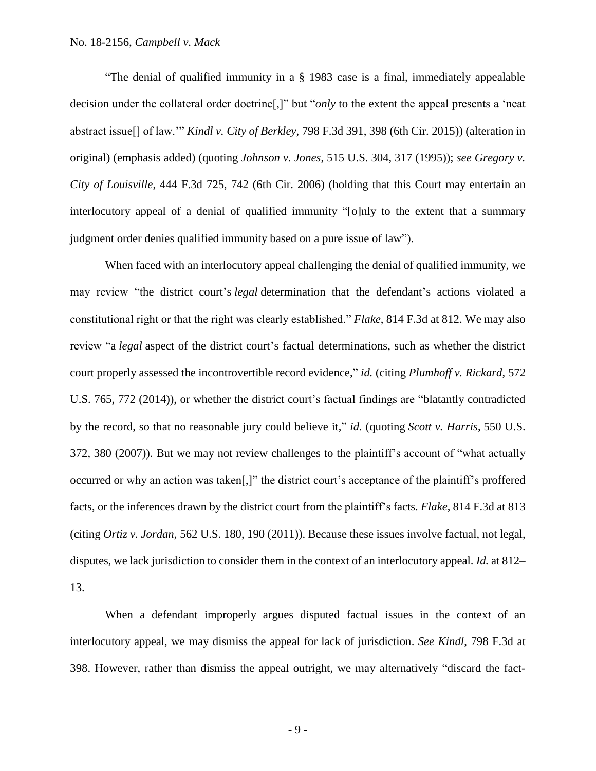"The denial of qualified immunity in a § 1983 case is a final, immediately appealable decision under the collateral order doctrine[,]" but "*only* to the extent the appeal presents a 'neat abstract issue[] of law.'" *Kindl v. City of Berkley*, 798 F.3d 391, 398 (6th Cir. 2015)) (alteration in original) (emphasis added) (quoting *Johnson v. Jones*, 515 U.S. 304, 317 (1995)); *see Gregory v. City of Louisville*, 444 F.3d 725, 742 (6th Cir. 2006) (holding that this Court may entertain an interlocutory appeal of a denial of qualified immunity "[o]nly to the extent that a summary judgment order denies qualified immunity based on a pure issue of law").

When faced with an interlocutory appeal challenging the denial of qualified immunity, we may review "the district court's *legal* determination that the defendant's actions violated a constitutional right or that the right was clearly established." *Flake*, 814 F.3d at 812. We may also review "a *legal* aspect of the district court's factual determinations, such as whether the district court properly assessed the incontrovertible record evidence," *id.* (citing *Plumhoff v. Rickard*, 572 U.S. 765, 772 (2014)), or whether the district court's factual findings are "blatantly contradicted by the record, so that no reasonable jury could believe it," *id.* (quoting *Scott v. Harris*, 550 U.S. 372, 380 (2007)). But we may not review challenges to the plaintiff's account of "what actually occurred or why an action was taken[,]" the district court's acceptance of the plaintiff's proffered facts, or the inferences drawn by the district court from the plaintiff's facts. *Flake*, 814 F.3d at 813 (citing *Ortiz v. Jordan*, 562 U.S. 180, 190 (2011)). Because these issues involve factual, not legal, disputes, we lack jurisdiction to consider them in the context of an interlocutory appeal. *Id.* at 812– 13.

When a defendant improperly argues disputed factual issues in the context of an interlocutory appeal, we may dismiss the appeal for lack of jurisdiction. *See Kindl*, 798 F.3d at 398. However, rather than dismiss the appeal outright, we may alternatively "discard the fact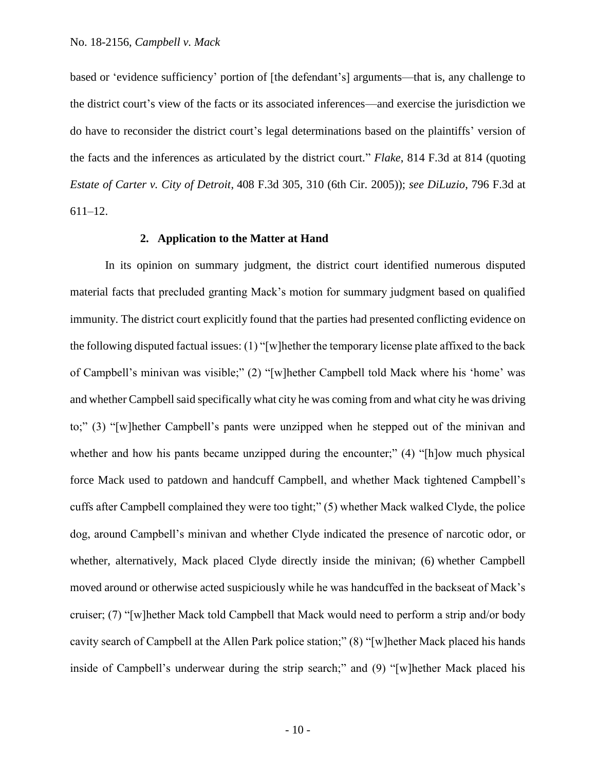based or 'evidence sufficiency' portion of [the defendant's] arguments—that is, any challenge to the district court's view of the facts or its associated inferences—and exercise the jurisdiction we do have to reconsider the district court's legal determinations based on the plaintiffs' version of the facts and the inferences as articulated by the district court." *Flake*, 814 F.3d at 814 (quoting *Estate of Carter v. City of Detroit*, 408 F.3d 305, 310 (6th Cir. 2005)); *see DiLuzio*, 796 F.3d at 611–12.

#### **2. Application to the Matter at Hand**

In its opinion on summary judgment, the district court identified numerous disputed material facts that precluded granting Mack's motion for summary judgment based on qualified immunity. The district court explicitly found that the parties had presented conflicting evidence on the following disputed factual issues: (1) "[w]hether the temporary license plate affixed to the back of Campbell's minivan was visible;" (2) "[w]hether Campbell told Mack where his 'home' was and whether Campbell said specifically what city he was coming from and what city he was driving to;" (3) "[w]hether Campbell's pants were unzipped when he stepped out of the minivan and whether and how his pants became unzipped during the encounter;" (4) "[h]ow much physical force Mack used to patdown and handcuff Campbell, and whether Mack tightened Campbell's cuffs after Campbell complained they were too tight;" (5) whether Mack walked Clyde, the police dog, around Campbell's minivan and whether Clyde indicated the presence of narcotic odor, or whether, alternatively, Mack placed Clyde directly inside the minivan; (6) whether Campbell moved around or otherwise acted suspiciously while he was handcuffed in the backseat of Mack's cruiser; (7) "[w]hether Mack told Campbell that Mack would need to perform a strip and/or body cavity search of Campbell at the Allen Park police station;" (8) "[w]hether Mack placed his hands inside of Campbell's underwear during the strip search;" and (9) "[w]hether Mack placed his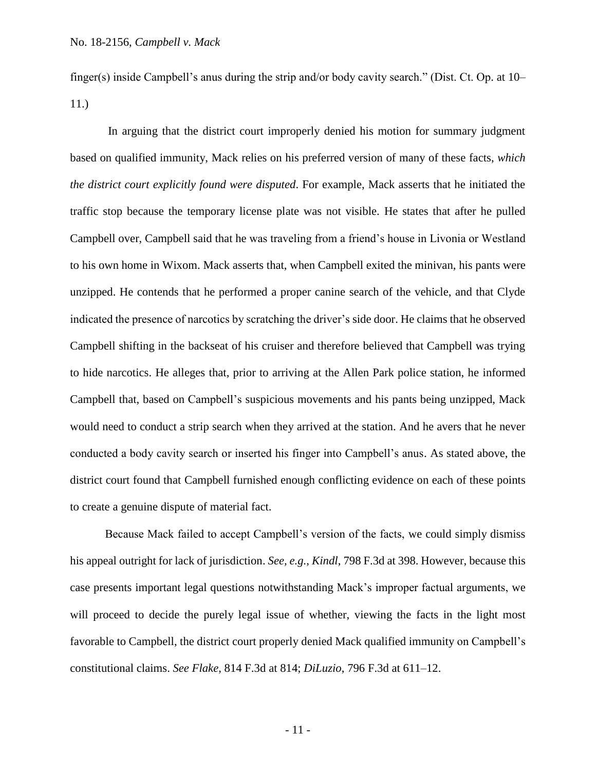finger(s) inside Campbell's anus during the strip and/or body cavity search." (Dist. Ct. Op. at 10– 11.)

In arguing that the district court improperly denied his motion for summary judgment based on qualified immunity, Mack relies on his preferred version of many of these facts, *which the district court explicitly found were disputed*. For example, Mack asserts that he initiated the traffic stop because the temporary license plate was not visible. He states that after he pulled Campbell over, Campbell said that he was traveling from a friend's house in Livonia or Westland to his own home in Wixom. Mack asserts that, when Campbell exited the minivan, his pants were unzipped. He contends that he performed a proper canine search of the vehicle, and that Clyde indicated the presence of narcotics by scratching the driver's side door. He claims that he observed Campbell shifting in the backseat of his cruiser and therefore believed that Campbell was trying to hide narcotics. He alleges that, prior to arriving at the Allen Park police station, he informed Campbell that, based on Campbell's suspicious movements and his pants being unzipped, Mack would need to conduct a strip search when they arrived at the station. And he avers that he never conducted a body cavity search or inserted his finger into Campbell's anus. As stated above, the district court found that Campbell furnished enough conflicting evidence on each of these points to create a genuine dispute of material fact.

Because Mack failed to accept Campbell's version of the facts, we could simply dismiss his appeal outright for lack of jurisdiction. *See, e.g.*, *Kindl*, 798 F.3d at 398. However, because this case presents important legal questions notwithstanding Mack's improper factual arguments, we will proceed to decide the purely legal issue of whether, viewing the facts in the light most favorable to Campbell, the district court properly denied Mack qualified immunity on Campbell's constitutional claims. *See Flake*, 814 F.3d at 814; *DiLuzio*, 796 F.3d at 611–12.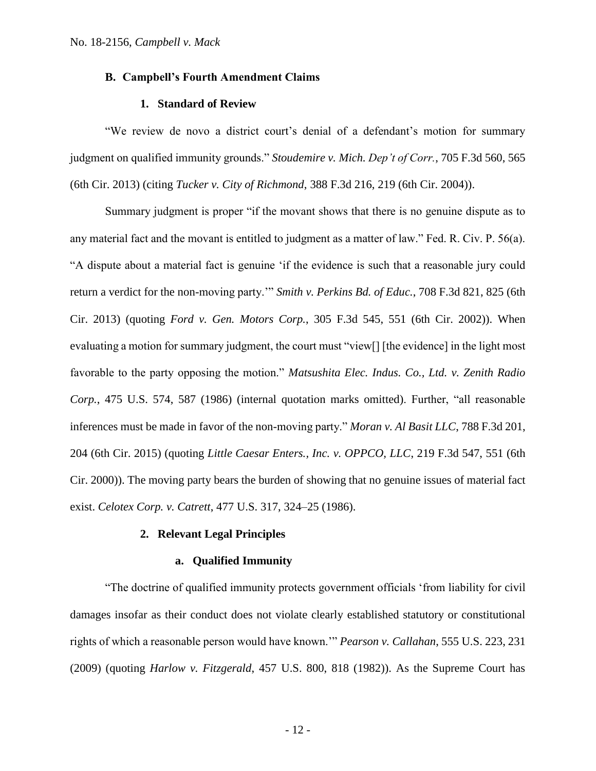## **B. Campbell's Fourth Amendment Claims**

# **1. Standard of Review**

"We review de novo a district court's denial of a defendant's motion for summary judgment on qualified immunity grounds." *Stoudemire v. Mich. Dep't of Corr.*, 705 F.3d 560, 565 (6th Cir. 2013) (citing *Tucker v. City of Richmond*, 388 F.3d 216, 219 (6th Cir. 2004)).

Summary judgment is proper "if the movant shows that there is no genuine dispute as to any material fact and the movant is entitled to judgment as a matter of law." Fed. R. Civ. P. 56(a). "A dispute about a material fact is genuine 'if the evidence is such that a reasonable jury could return a verdict for the non-moving party.'" *Smith v. Perkins Bd. of Educ.*, 708 F.3d 821, 825 (6th Cir. 2013) (quoting *Ford v. Gen. Motors Corp.*, 305 F.3d 545, 551 (6th Cir. 2002)). When evaluating a motion for summary judgment, the court must "view[] [the evidence] in the light most favorable to the party opposing the motion." *Matsushita Elec. Indus. Co., Ltd. v. Zenith Radio Corp.*, 475 U.S. 574, 587 (1986) (internal quotation marks omitted). Further, "all reasonable inferences must be made in favor of the non-moving party." *Moran v. Al Basit LLC*, 788 F.3d 201, 204 (6th Cir. 2015) (quoting *Little Caesar Enters., Inc. v. OPPCO, LLC*, 219 F.3d 547, 551 (6th Cir. 2000)). The moving party bears the burden of showing that no genuine issues of material fact exist. *Celotex Corp. v. Catrett*, 477 U.S. 317, 324–25 (1986).

## **2. Relevant Legal Principles**

#### **a. Qualified Immunity**

"The doctrine of qualified immunity protects government officials 'from liability for civil damages insofar as their conduct does not violate clearly established statutory or constitutional rights of which a reasonable person would have known.'" *Pearson v. Callahan*, 555 U.S. 223, 231 (2009) (quoting *Harlow v. Fitzgerald*, 457 U.S. 800, 818 (1982)). As the Supreme Court has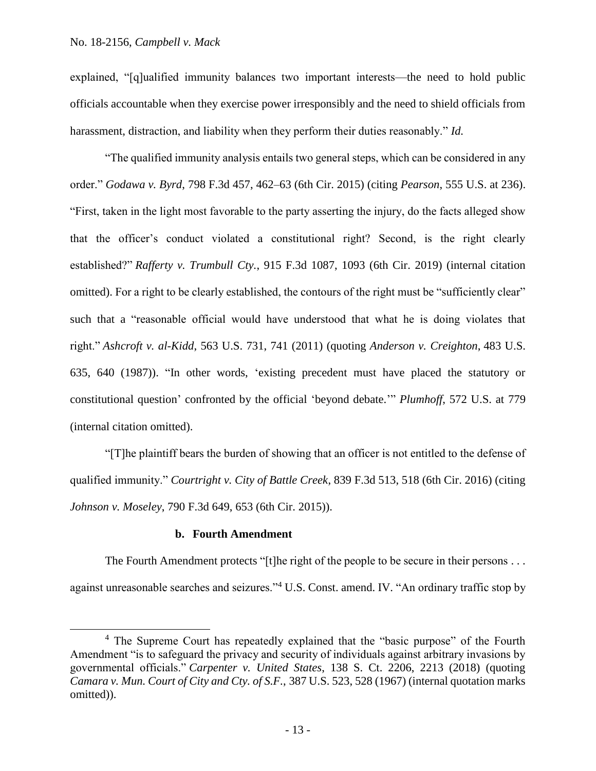explained, "[q]ualified immunity balances two important interests—the need to hold public officials accountable when they exercise power irresponsibly and the need to shield officials from harassment, distraction, and liability when they perform their duties reasonably." *Id.*

"The qualified immunity analysis entails two general steps, which can be considered in any order." *Godawa v. Byrd*, 798 F.3d 457, 462–63 (6th Cir. 2015) (citing *Pearson*, 555 U.S. at 236). "First, taken in the light most favorable to the party asserting the injury, do the facts alleged show that the officer's conduct violated a constitutional right? Second, is the right clearly established?" *Rafferty v. Trumbull Cty.*, 915 F.3d 1087, 1093 (6th Cir. 2019) (internal citation omitted). For a right to be clearly established, the contours of the right must be "sufficiently clear" such that a "reasonable official would have understood that what he is doing violates that right." *Ashcroft v. al-Kidd*, 563 U.S. 731, 741 (2011) (quoting *Anderson v. Creighton*, 483 U.S. 635, 640 (1987)). "In other words, 'existing precedent must have placed the statutory or constitutional question' confronted by the official 'beyond debate.'" *Plumhoff*, 572 U.S. at 779 (internal citation omitted).

"[T]he plaintiff bears the burden of showing that an officer is not entitled to the defense of qualified immunity." *Courtright v. City of Battle Creek*, 839 F.3d 513, 518 (6th Cir. 2016) (citing *Johnson v. Moseley*, 790 F.3d 649, 653 (6th Cir. 2015)).

## **b. Fourth Amendment**

 $\overline{a}$ 

The Fourth Amendment protects "[t]he right of the people to be secure in their persons . . . against unreasonable searches and seizures."<sup>4</sup> U.S. Const. amend. IV. "An ordinary traffic stop by

<sup>&</sup>lt;sup>4</sup> The Supreme Court has repeatedly explained that the "basic purpose" of the Fourth Amendment "is to safeguard the privacy and security of individuals against arbitrary invasions by governmental officials." *Carpenter v. United States*, 138 S. Ct. 2206, 2213 (2018) (quoting *Camara v. Mun. Court of City and Cty. of S.F.*, 387 U.S. 523, 528 (1967) (internal quotation marks omitted)).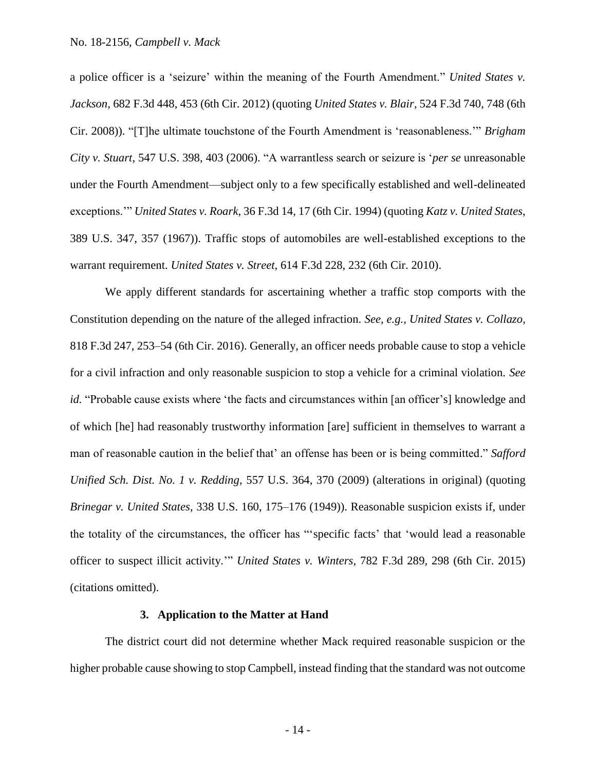a police officer is a 'seizure' within the meaning of the Fourth Amendment." *United States v. Jackson*, 682 F.3d 448, 453 (6th Cir. 2012) (quoting *United States v. Blair*, 524 F.3d 740, 748 (6th Cir. 2008)). "[T]he ultimate touchstone of the Fourth Amendment is 'reasonableness.'" *Brigham City v. Stuart*, 547 U.S. 398, 403 (2006). "A warrantless search or seizure is '*per se* unreasonable under the Fourth Amendment—subject only to a few specifically established and well-delineated exceptions.'" *United States v. Roark*, 36 F.3d 14, 17 (6th Cir. 1994) (quoting *Katz v. United States*, 389 U.S. 347, 357 (1967)). Traffic stops of automobiles are well-established exceptions to the warrant requirement. *United States v. Street*, 614 F.3d 228, 232 (6th Cir. 2010).

We apply different standards for ascertaining whether a traffic stop comports with the Constitution depending on the nature of the alleged infraction. *See, e.g.*, *United States v. Collazo*, 818 F.3d 247, 253–54 (6th Cir. 2016). Generally, an officer needs probable cause to stop a vehicle for a civil infraction and only reasonable suspicion to stop a vehicle for a criminal violation. *See id.* "Probable cause exists where 'the facts and circumstances within [an officer's] knowledge and of which [he] had reasonably trustworthy information [are] sufficient in themselves to warrant a man of reasonable caution in the belief that' an offense has been or is being committed." *Safford Unified Sch. Dist. No. 1 v. Redding*, 557 U.S. 364, 370 (2009) (alterations in original) (quoting *Brinegar v. United States*, 338 U.S. 160, 175–176 (1949)). Reasonable suspicion exists if, under the totality of the circumstances, the officer has "'specific facts' that 'would lead a reasonable officer to suspect illicit activity.'" *United States v. Winters*, 782 F.3d 289, 298 (6th Cir. 2015) (citations omitted).

#### **3. Application to the Matter at Hand**

The district court did not determine whether Mack required reasonable suspicion or the higher probable cause showing to stop Campbell, instead finding that the standard was not outcome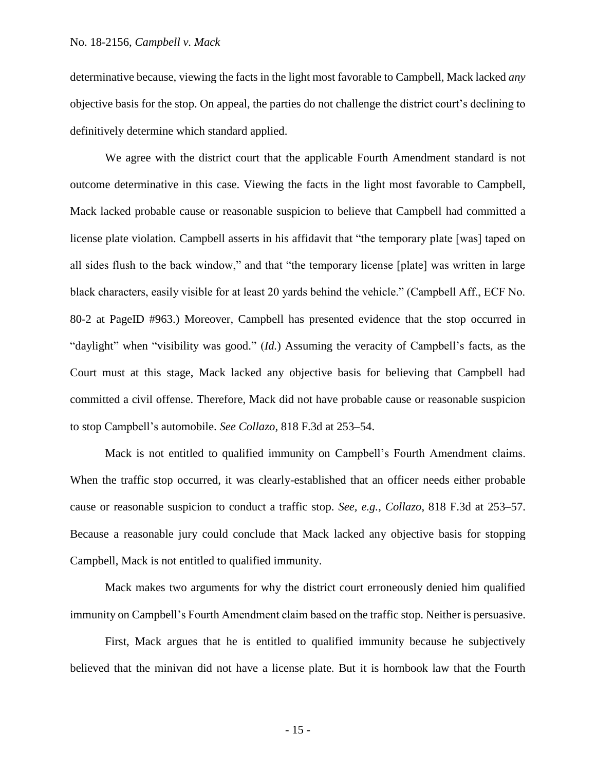determinative because, viewing the facts in the light most favorable to Campbell, Mack lacked *any* objective basis for the stop. On appeal, the parties do not challenge the district court's declining to definitively determine which standard applied.

We agree with the district court that the applicable Fourth Amendment standard is not outcome determinative in this case. Viewing the facts in the light most favorable to Campbell, Mack lacked probable cause or reasonable suspicion to believe that Campbell had committed a license plate violation. Campbell asserts in his affidavit that "the temporary plate [was] taped on all sides flush to the back window," and that "the temporary license [plate] was written in large black characters, easily visible for at least 20 yards behind the vehicle." (Campbell Aff., ECF No. 80-2 at PageID #963.) Moreover, Campbell has presented evidence that the stop occurred in "daylight" when "visibility was good." (*Id.*) Assuming the veracity of Campbell's facts, as the Court must at this stage, Mack lacked any objective basis for believing that Campbell had committed a civil offense. Therefore, Mack did not have probable cause or reasonable suspicion to stop Campbell's automobile. *See Collazo*, 818 F.3d at 253–54.

Mack is not entitled to qualified immunity on Campbell's Fourth Amendment claims. When the traffic stop occurred, it was clearly-established that an officer needs either probable cause or reasonable suspicion to conduct a traffic stop. *See, e.g.*, *Collazo*, 818 F.3d at 253–57. Because a reasonable jury could conclude that Mack lacked any objective basis for stopping Campbell, Mack is not entitled to qualified immunity.

Mack makes two arguments for why the district court erroneously denied him qualified immunity on Campbell's Fourth Amendment claim based on the traffic stop. Neither is persuasive.

First, Mack argues that he is entitled to qualified immunity because he subjectively believed that the minivan did not have a license plate. But it is hornbook law that the Fourth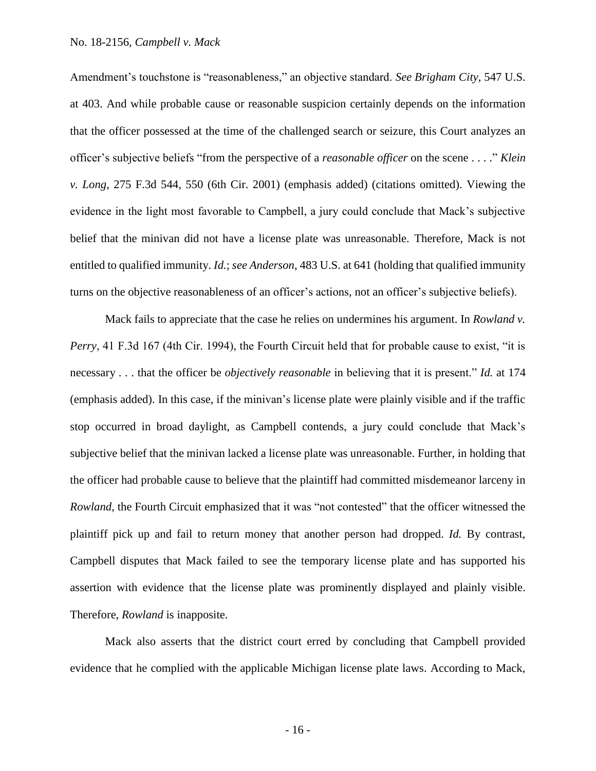Amendment's touchstone is "reasonableness," an objective standard. *See Brigham City*, 547 U.S. at 403. And while probable cause or reasonable suspicion certainly depends on the information that the officer possessed at the time of the challenged search or seizure, this Court analyzes an officer's subjective beliefs "from the perspective of a *reasonable officer* on the scene . . . ." *Klein v. Long*, 275 F.3d 544, 550 (6th Cir. 2001) (emphasis added) (citations omitted). Viewing the evidence in the light most favorable to Campbell, a jury could conclude that Mack's subjective belief that the minivan did not have a license plate was unreasonable. Therefore, Mack is not entitled to qualified immunity. *Id.*; *see Anderson*, 483 U.S. at 641 (holding that qualified immunity turns on the objective reasonableness of an officer's actions, not an officer's subjective beliefs).

Mack fails to appreciate that the case he relies on undermines his argument. In *Rowland v. Perry*, 41 F.3d 167 (4th Cir. 1994), the Fourth Circuit held that for probable cause to exist, "it is necessary . . . that the officer be *objectively reasonable* in believing that it is present." *Id.* at 174 (emphasis added). In this case, if the minivan's license plate were plainly visible and if the traffic stop occurred in broad daylight, as Campbell contends, a jury could conclude that Mack's subjective belief that the minivan lacked a license plate was unreasonable. Further, in holding that the officer had probable cause to believe that the plaintiff had committed misdemeanor larceny in *Rowland*, the Fourth Circuit emphasized that it was "not contested" that the officer witnessed the plaintiff pick up and fail to return money that another person had dropped. *Id.* By contrast, Campbell disputes that Mack failed to see the temporary license plate and has supported his assertion with evidence that the license plate was prominently displayed and plainly visible. Therefore, *Rowland* is inapposite.

Mack also asserts that the district court erred by concluding that Campbell provided evidence that he complied with the applicable Michigan license plate laws. According to Mack,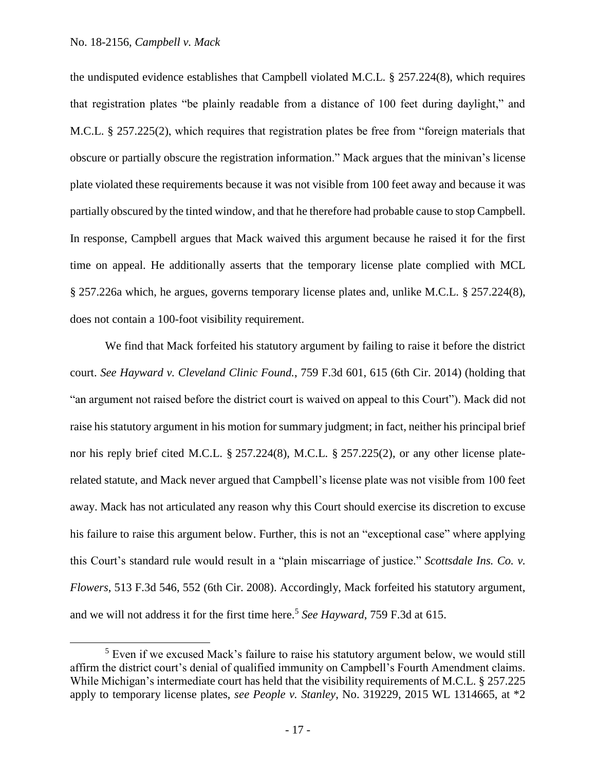$\overline{\phantom{a}}$ 

the undisputed evidence establishes that Campbell violated M.C.L. § 257.224(8), which requires that registration plates "be plainly readable from a distance of 100 feet during daylight," and M.C.L. § 257.225(2), which requires that registration plates be free from "foreign materials that obscure or partially obscure the registration information." Mack argues that the minivan's license plate violated these requirements because it was not visible from 100 feet away and because it was partially obscured by the tinted window, and that he therefore had probable cause to stop Campbell. In response, Campbell argues that Mack waived this argument because he raised it for the first time on appeal. He additionally asserts that the temporary license plate complied with MCL § 257.226a which, he argues, governs temporary license plates and, unlike M.C.L. § 257.224(8), does not contain a 100-foot visibility requirement.

We find that Mack forfeited his statutory argument by failing to raise it before the district court. *See Hayward v. Cleveland Clinic Found.*, 759 F.3d 601, 615 (6th Cir. 2014) (holding that "an argument not raised before the district court is waived on appeal to this Court"). Mack did not raise his statutory argument in his motion for summary judgment; in fact, neither his principal brief nor his reply brief cited M.C.L. § 257.224(8), M.C.L. § 257.225(2), or any other license platerelated statute, and Mack never argued that Campbell's license plate was not visible from 100 feet away. Mack has not articulated any reason why this Court should exercise its discretion to excuse his failure to raise this argument below. Further, this is not an "exceptional case" where applying this Court's standard rule would result in a "plain miscarriage of justice." *Scottsdale Ins. Co. v. Flowers*, 513 F.3d 546, 552 (6th Cir. 2008). Accordingly, Mack forfeited his statutory argument, and we will not address it for the first time here.<sup>5</sup> *See Hayward*, 759 F.3d at 615.

<sup>&</sup>lt;sup>5</sup> Even if we excused Mack's failure to raise his statutory argument below, we would still affirm the district court's denial of qualified immunity on Campbell's Fourth Amendment claims. While Michigan's intermediate court has held that the visibility requirements of M.C.L. § 257.225 apply to temporary license plates, *see People v. Stanley*, No. 319229, 2015 WL 1314665, at \*2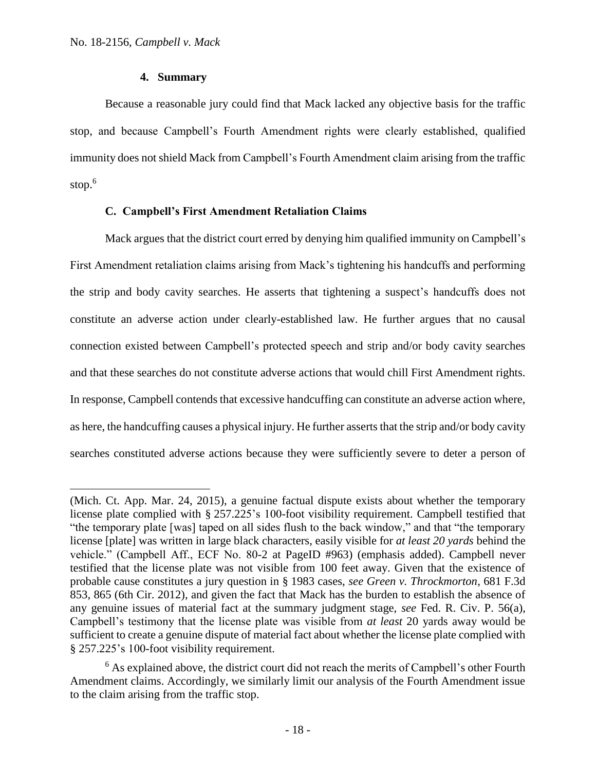$\overline{a}$ 

# **4. Summary**

Because a reasonable jury could find that Mack lacked any objective basis for the traffic stop, and because Campbell's Fourth Amendment rights were clearly established, qualified immunity does not shield Mack from Campbell's Fourth Amendment claim arising from the traffic stop. 6

## **C. Campbell's First Amendment Retaliation Claims**

Mack argues that the district court erred by denying him qualified immunity on Campbell's First Amendment retaliation claims arising from Mack's tightening his handcuffs and performing the strip and body cavity searches. He asserts that tightening a suspect's handcuffs does not constitute an adverse action under clearly-established law. He further argues that no causal connection existed between Campbell's protected speech and strip and/or body cavity searches and that these searches do not constitute adverse actions that would chill First Amendment rights. In response, Campbell contends that excessive handcuffing can constitute an adverse action where, as here, the handcuffing causes a physical injury. He further asserts that the strip and/or body cavity searches constituted adverse actions because they were sufficiently severe to deter a person of

<sup>(</sup>Mich. Ct. App. Mar. 24, 2015), a genuine factual dispute exists about whether the temporary license plate complied with § 257.225's 100-foot visibility requirement. Campbell testified that "the temporary plate [was] taped on all sides flush to the back window," and that "the temporary license [plate] was written in large black characters, easily visible for *at least 20 yards* behind the vehicle." (Campbell Aff., ECF No. 80-2 at PageID #963) (emphasis added). Campbell never testified that the license plate was not visible from 100 feet away. Given that the existence of probable cause constitutes a jury question in § 1983 cases, *see Green v. Throckmorton*, 681 F.3d 853, 865 (6th Cir. 2012), and given the fact that Mack has the burden to establish the absence of any genuine issues of material fact at the summary judgment stage, *see* Fed. R. Civ. P. 56(a), Campbell's testimony that the license plate was visible from *at least* 20 yards away would be sufficient to create a genuine dispute of material fact about whether the license plate complied with § 257.225's 100-foot visibility requirement.

 $6$  As explained above, the district court did not reach the merits of Campbell's other Fourth Amendment claims. Accordingly, we similarly limit our analysis of the Fourth Amendment issue to the claim arising from the traffic stop.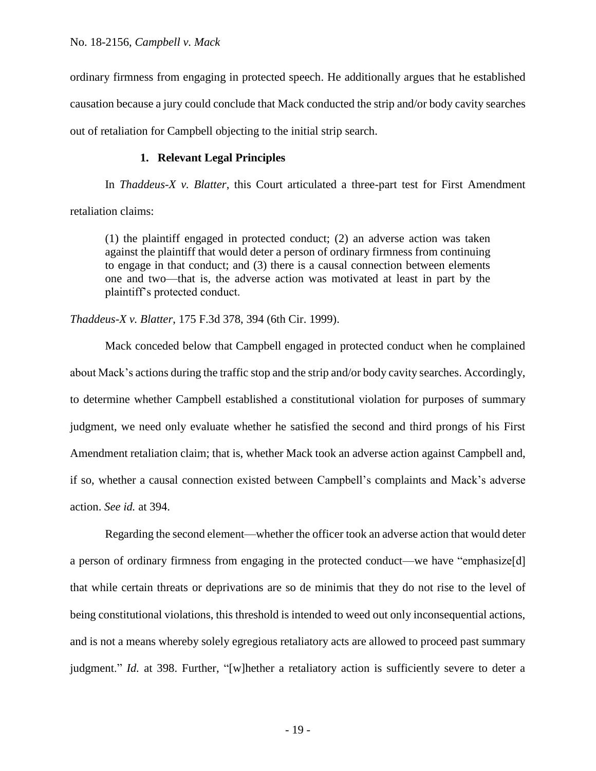ordinary firmness from engaging in protected speech. He additionally argues that he established causation because a jury could conclude that Mack conducted the strip and/or body cavity searches out of retaliation for Campbell objecting to the initial strip search.

# **1. Relevant Legal Principles**

In *Thaddeus-X v. Blatter*, this Court articulated a three-part test for First Amendment retaliation claims:

(1) the plaintiff engaged in protected conduct; (2) an adverse action was taken against the plaintiff that would deter a person of ordinary firmness from continuing to engage in that conduct; and (3) there is a causal connection between elements one and two—that is, the adverse action was motivated at least in part by the plaintiff's protected conduct.

*Thaddeus-X v. Blatter*, 175 F.3d 378, 394 (6th Cir. 1999).

Mack conceded below that Campbell engaged in protected conduct when he complained about Mack's actions during the traffic stop and the strip and/or body cavity searches. Accordingly, to determine whether Campbell established a constitutional violation for purposes of summary judgment, we need only evaluate whether he satisfied the second and third prongs of his First Amendment retaliation claim; that is, whether Mack took an adverse action against Campbell and, if so, whether a causal connection existed between Campbell's complaints and Mack's adverse action. *See id.* at 394.

Regarding the second element—whether the officer took an adverse action that would deter a person of ordinary firmness from engaging in the protected conduct—we have "emphasize[d] that while certain threats or deprivations are so de minimis that they do not rise to the level of being constitutional violations, this threshold is intended to weed out only inconsequential actions, and is not a means whereby solely egregious retaliatory acts are allowed to proceed past summary judgment." *Id.* at 398. Further, "[w]hether a retaliatory action is sufficiently severe to deter a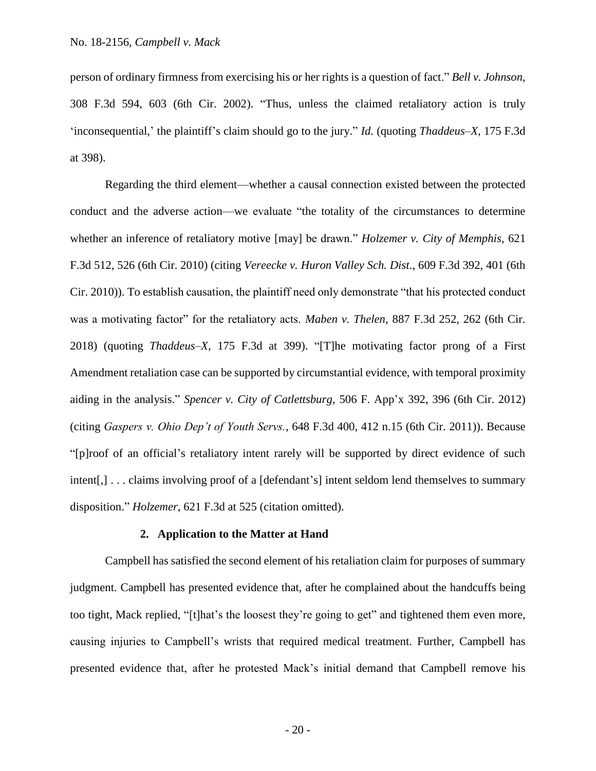person of ordinary firmness from exercising his or her rights is a question of fact." *Bell v. Johnson*, 308 F.3d 594, 603 (6th Cir. 2002). "Thus, unless the claimed retaliatory action is truly 'inconsequential,' the plaintiff's claim should go to the jury." *Id.* (quoting *Thaddeus–X*, 175 F.3d at 398).

Regarding the third element—whether a causal connection existed between the protected conduct and the adverse action—we evaluate "the totality of the circumstances to determine whether an inference of retaliatory motive [may] be drawn." *Holzemer v. City of Memphis*, 621 F.3d 512, 526 (6th Cir. 2010) (citing *Vereecke v. Huron Valley Sch. Dist*., 609 F.3d 392, 401 (6th Cir. 2010)). To establish causation, the plaintiff need only demonstrate "that his protected conduct was a motivating factor" for the retaliatory acts. *Maben v. Thelen*, 887 F.3d 252, 262 (6th Cir. 2018) (quoting *Thaddeus–X*, 175 F.3d at 399). "[T]he motivating factor prong of a First Amendment retaliation case can be supported by circumstantial evidence, with temporal proximity aiding in the analysis." *Spencer v. City of Catlettsburg*, 506 F. App'x 392, 396 (6th Cir. 2012) (citing *Gaspers v. Ohio Dep't of Youth Servs.*, 648 F.3d 400, 412 n.15 (6th Cir. 2011)). Because "[p]roof of an official's retaliatory intent rarely will be supported by direct evidence of such intent[,] . . . claims involving proof of a [defendant's] intent seldom lend themselves to summary disposition." *Holzemer*, 621 F.3d at 525 (citation omitted).

#### **2. Application to the Matter at Hand**

Campbell has satisfied the second element of his retaliation claim for purposes of summary judgment. Campbell has presented evidence that, after he complained about the handcuffs being too tight, Mack replied, "[t]hat's the loosest they're going to get" and tightened them even more, causing injuries to Campbell's wrists that required medical treatment. Further, Campbell has presented evidence that, after he protested Mack's initial demand that Campbell remove his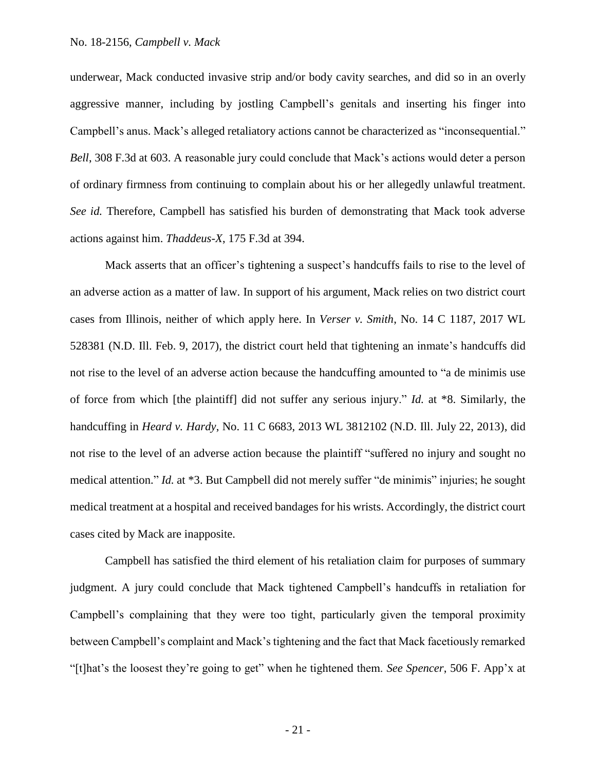underwear, Mack conducted invasive strip and/or body cavity searches, and did so in an overly aggressive manner, including by jostling Campbell's genitals and inserting his finger into Campbell's anus. Mack's alleged retaliatory actions cannot be characterized as "inconsequential." *Bell*, 308 F.3d at 603. A reasonable jury could conclude that Mack's actions would deter a person of ordinary firmness from continuing to complain about his or her allegedly unlawful treatment. *See id.* Therefore, Campbell has satisfied his burden of demonstrating that Mack took adverse actions against him. *Thaddeus-X*, 175 F.3d at 394.

Mack asserts that an officer's tightening a suspect's handcuffs fails to rise to the level of an adverse action as a matter of law. In support of his argument, Mack relies on two district court cases from Illinois, neither of which apply here. In *Verser v. Smith*, No. 14 C 1187, 2017 WL 528381 (N.D. Ill. Feb. 9, 2017), the district court held that tightening an inmate's handcuffs did not rise to the level of an adverse action because the handcuffing amounted to "a de minimis use of force from which [the plaintiff] did not suffer any serious injury." *Id.* at \*8. Similarly, the handcuffing in *Heard v. Hardy*, No. 11 C 6683, 2013 WL 3812102 (N.D. Ill. July 22, 2013), did not rise to the level of an adverse action because the plaintiff "suffered no injury and sought no medical attention." *Id.* at \*3. But Campbell did not merely suffer "de minimis" injuries; he sought medical treatment at a hospital and received bandages for his wrists. Accordingly, the district court cases cited by Mack are inapposite.

Campbell has satisfied the third element of his retaliation claim for purposes of summary judgment. A jury could conclude that Mack tightened Campbell's handcuffs in retaliation for Campbell's complaining that they were too tight, particularly given the temporal proximity between Campbell's complaint and Mack's tightening and the fact that Mack facetiously remarked "[t]hat's the loosest they're going to get" when he tightened them. *See Spencer*, 506 F. App'x at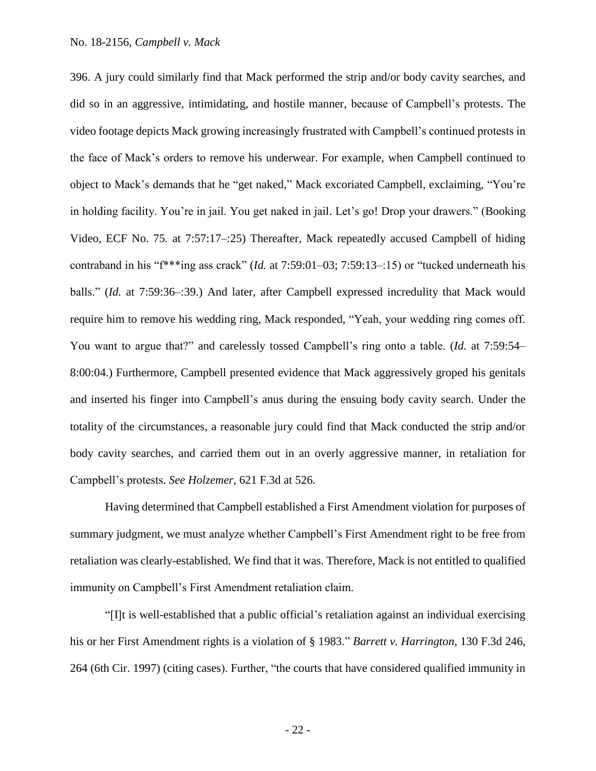396. A jury could similarly find that Mack performed the strip and/or body cavity searches, and did so in an aggressive, intimidating, and hostile manner, because of Campbell's protests. The video footage depicts Mack growing increasingly frustrated with Campbell's continued protests in the face of Mack's orders to remove his underwear. For example, when Campbell continued to object to Mack's demands that he "get naked," Mack excoriated Campbell, exclaiming, "You're in holding facility. You're in jail. You get naked in jail. Let's go! Drop your drawers." (Booking Video, ECF No. 75*.* at 7:57:17–:25) Thereafter, Mack repeatedly accused Campbell of hiding contraband in his "f\*\*\*ing ass crack" (*Id.* at 7:59:01–03; 7:59:13–:15) or "tucked underneath his balls." (*Id.* at 7:59:36–:39.) And later, after Campbell expressed incredulity that Mack would require him to remove his wedding ring, Mack responded, "Yeah, your wedding ring comes off. You want to argue that?" and carelessly tossed Campbell's ring onto a table. (*Id.* at 7:59:54– 8:00:04.) Furthermore, Campbell presented evidence that Mack aggressively groped his genitals and inserted his finger into Campbell's anus during the ensuing body cavity search. Under the totality of the circumstances, a reasonable jury could find that Mack conducted the strip and/or body cavity searches, and carried them out in an overly aggressive manner, in retaliation for Campbell's protests. *See Holzemer*, 621 F.3d at 526.

Having determined that Campbell established a First Amendment violation for purposes of summary judgment, we must analyze whether Campbell's First Amendment right to be free from retaliation was clearly-established. We find that it was. Therefore, Mack is not entitled to qualified immunity on Campbell's First Amendment retaliation claim.

"[I]t is well-established that a public official's retaliation against an individual exercising his or her First Amendment rights is a violation of § 1983." *Barrett v. Harrington*, 130 F.3d 246, 264 (6th Cir. 1997) (citing cases). Further, "the courts that have considered qualified immunity in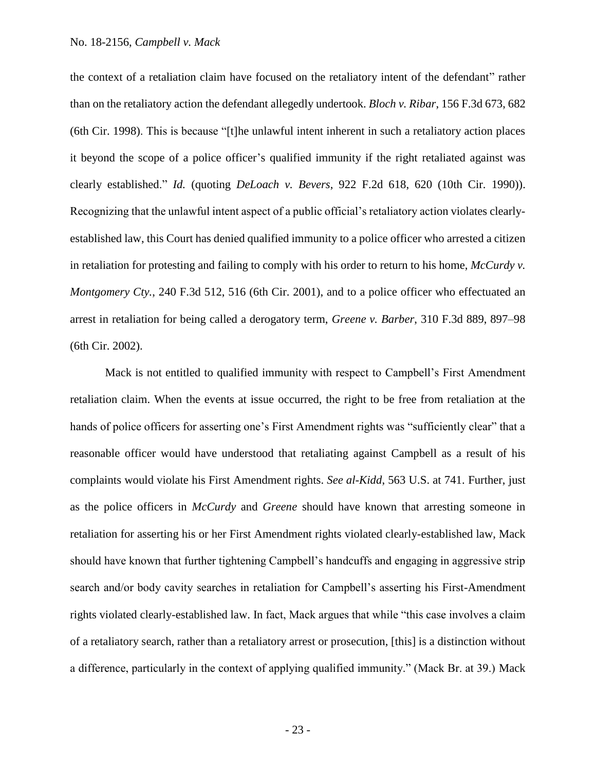the context of a retaliation claim have focused on the retaliatory intent of the defendant" rather than on the retaliatory action the defendant allegedly undertook. *Bloch v. Ribar*, 156 F.3d 673, 682 (6th Cir. 1998). This is because "[t]he unlawful intent inherent in such a retaliatory action places it beyond the scope of a police officer's qualified immunity if the right retaliated against was clearly established." *Id.* (quoting *DeLoach v. Bevers*, 922 F.2d 618, 620 (10th Cir. 1990)). Recognizing that the unlawful intent aspect of a public official's retaliatory action violates clearlyestablished law, this Court has denied qualified immunity to a police officer who arrested a citizen in retaliation for protesting and failing to comply with his order to return to his home, *McCurdy v. Montgomery Cty.*, 240 F.3d 512, 516 (6th Cir. 2001), and to a police officer who effectuated an arrest in retaliation for being called a derogatory term, *Greene v. Barber*, 310 F.3d 889, 897–98 (6th Cir. 2002).

Mack is not entitled to qualified immunity with respect to Campbell's First Amendment retaliation claim. When the events at issue occurred, the right to be free from retaliation at the hands of police officers for asserting one's First Amendment rights was "sufficiently clear" that a reasonable officer would have understood that retaliating against Campbell as a result of his complaints would violate his First Amendment rights. *See al-Kidd*, 563 U.S. at 741. Further, just as the police officers in *McCurdy* and *Greene* should have known that arresting someone in retaliation for asserting his or her First Amendment rights violated clearly-established law, Mack should have known that further tightening Campbell's handcuffs and engaging in aggressive strip search and/or body cavity searches in retaliation for Campbell's asserting his First-Amendment rights violated clearly-established law. In fact, Mack argues that while "this case involves a claim of a retaliatory search, rather than a retaliatory arrest or prosecution, [this] is a distinction without a difference, particularly in the context of applying qualified immunity." (Mack Br. at 39.) Mack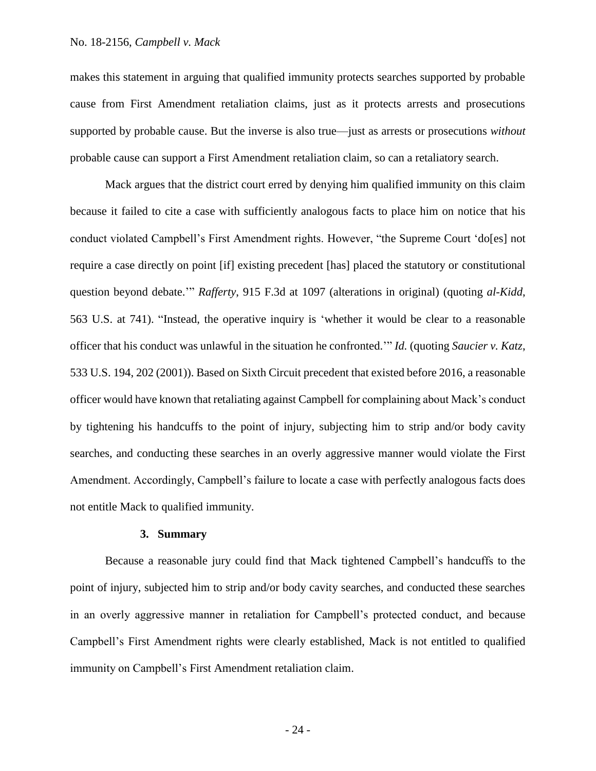makes this statement in arguing that qualified immunity protects searches supported by probable cause from First Amendment retaliation claims, just as it protects arrests and prosecutions supported by probable cause. But the inverse is also true—just as arrests or prosecutions *without* probable cause can support a First Amendment retaliation claim, so can a retaliatory search.

Mack argues that the district court erred by denying him qualified immunity on this claim because it failed to cite a case with sufficiently analogous facts to place him on notice that his conduct violated Campbell's First Amendment rights. However, "the Supreme Court 'do[es] not require a case directly on point [if] existing precedent [has] placed the statutory or constitutional question beyond debate.'" *Rafferty*, 915 F.3d at 1097 (alterations in original) (quoting *al-Kidd*, 563 U.S. at 741). "Instead, the operative inquiry is 'whether it would be clear to a reasonable officer that his conduct was unlawful in the situation he confronted.'" *Id.* (quoting *Saucier v. Katz*, 533 U.S. 194, 202 (2001)). Based on Sixth Circuit precedent that existed before 2016, a reasonable officer would have known that retaliating against Campbell for complaining about Mack's conduct by tightening his handcuffs to the point of injury, subjecting him to strip and/or body cavity searches, and conducting these searches in an overly aggressive manner would violate the First Amendment. Accordingly, Campbell's failure to locate a case with perfectly analogous facts does not entitle Mack to qualified immunity.

## **3. Summary**

Because a reasonable jury could find that Mack tightened Campbell's handcuffs to the point of injury, subjected him to strip and/or body cavity searches, and conducted these searches in an overly aggressive manner in retaliation for Campbell's protected conduct, and because Campbell's First Amendment rights were clearly established, Mack is not entitled to qualified immunity on Campbell's First Amendment retaliation claim.